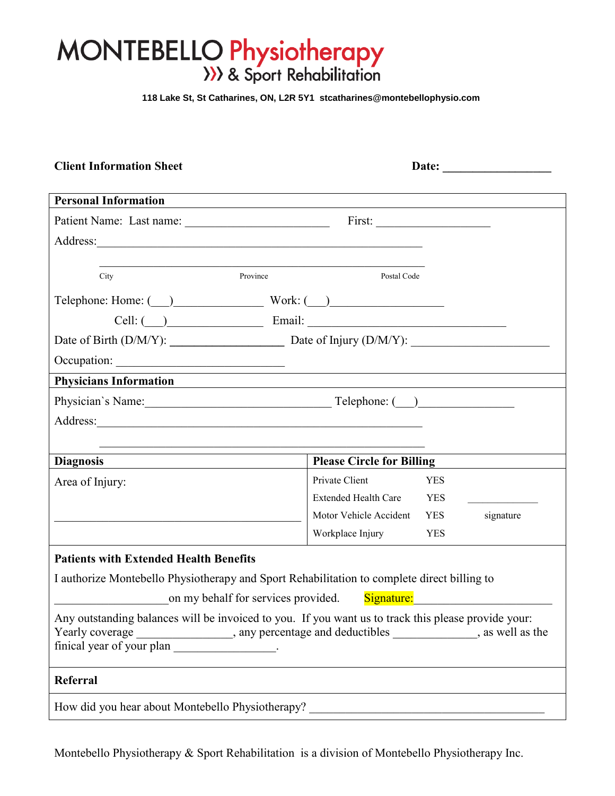# $\mathcal{N}$  Droppert Patient Patient Patient Patient Patient Patient Patient Patient Patient Patient Patient Patient Patient Patient Patient Patient Patient Patient Patient Patient Patient Patient Patient Patient Patient Pat

 **118 Lake St, St Catharines, ON, L2R 5Y1 stcatharines@montebellophysio.com** 

| <b>Client Information Sheet</b>                  |                                                                                                                                                                                                                                |  |
|--------------------------------------------------|--------------------------------------------------------------------------------------------------------------------------------------------------------------------------------------------------------------------------------|--|
| <b>Personal Information</b>                      | ,我们也不会有什么。""我们的人,我们也不会有什么?""我们的人,我们也不会有什么?""我们的人,我们也不会有什么?""我们的人,我们也不会有什么?""我们的人                                                                                                                                               |  |
|                                                  |                                                                                                                                                                                                                                |  |
| Address:                                         |                                                                                                                                                                                                                                |  |
| City                                             | Province<br>Postal Code                                                                                                                                                                                                        |  |
|                                                  |                                                                                                                                                                                                                                |  |
|                                                  | Cell: ( ) Email: Email: 2008 Email: 2008 Email: 2008 Email: 2008 Email: 2008 PM Email: 2008 Email: 2008 PM Email: 2008 PM Email: 2008 PM Email: 2008 PM Email: 2008 PM Email: 2008 PM Email: 2008 PM Email: 2008 PM Email: 200 |  |
|                                                  |                                                                                                                                                                                                                                |  |
|                                                  |                                                                                                                                                                                                                                |  |
| <b>Physicians Information</b>                    |                                                                                                                                                                                                                                |  |
|                                                  | Physician's Name: Telephone: ( )                                                                                                                                                                                               |  |
| Address:                                         |                                                                                                                                                                                                                                |  |
|                                                  |                                                                                                                                                                                                                                |  |
| <b>Diagnosis</b>                                 | <b>Please Circle for Billing</b>                                                                                                                                                                                               |  |
| Area of Injury:                                  | Private Client<br><b>YES</b>                                                                                                                                                                                                   |  |
|                                                  | Extended Health Care YES                                                                                                                                                                                                       |  |
|                                                  | Motor Vehicle Accident YES<br>signature                                                                                                                                                                                        |  |
|                                                  | Workplace Injury<br><b>YES</b>                                                                                                                                                                                                 |  |
| <b>Patients with Extended Health Benefits</b>    |                                                                                                                                                                                                                                |  |
|                                                  | I authorize Montebello Physiotherapy and Sport Rehabilitation to complete direct billing to                                                                                                                                    |  |
|                                                  | on my behalf for services provided.<br>Signature:                                                                                                                                                                              |  |
| finical year of your plan _________________.     | Any outstanding balances will be invoiced to you. If you want us to track this please provide your:<br>Yearly coverage ______________, any percentage and deductibles ___________, as well as the                              |  |
| Referral                                         |                                                                                                                                                                                                                                |  |
| How did you hear about Montebello Physiotherapy? |                                                                                                                                                                                                                                |  |

Montebello Physiotherapy & Sport Rehabilitation is a division of Montebello Physiotherapy Inc.